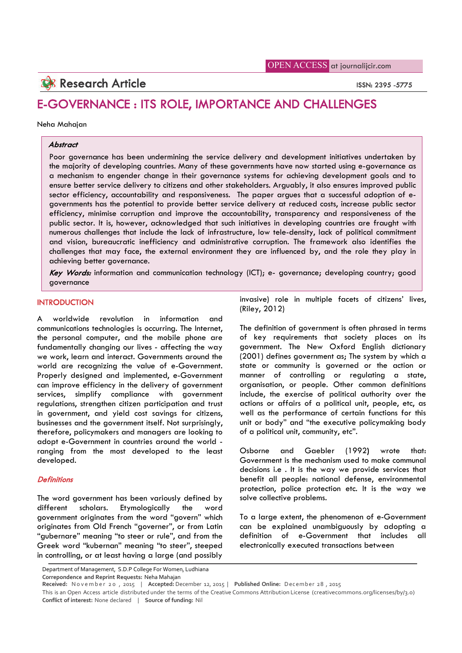# **Research Article** ISSN: 2395 -5775

# E-GOVERNANCE : ITS ROLE, IMPORTANCE AND CHALLENGES

#### Neha Mahajan

# **Abstract**

Poor governance has been undermining the service delivery and development initiatives undertaken by the majority of developing countries. Many of these governments have now started using e-governance as a mechanism to engender change in their governance systems for achieving development goals and to ensure better service delivery to citizens and other stakeholders. Arguably, it also ensures improved public sector efficiency, accountability and responsiveness. The paper argues that a successful adoption of egovernments has the potential to provide better service delivery at reduced costs, increase public sector efficiency, minimise corruption and improve the accountability, transparency and responsiveness of the public sector. It is, however, acknowledged that such initiatives in developing countries are fraught with numerous challenges that include the lack of infrastructure, low tele-density, lack of political commitment and vision, bureaucratic inefficiency and administrative corruption. The framework also identifies the challenges that may face, the external environment they are influenced by, and the role they play in achieving better governance.

Key Words: information and communication technology (ICT); e- governance; developing country; good governance

# **INTRODUCTION**

A worldwide revolution in information and communications technologies is occurring. The Internet, the personal computer, and the mobile phone are fundamentally changing our lives - affecting the way we work, learn and interact. Governments around the world are recognizing the value of e-Government. Properly designed and implemented, e-Government can improve efficiency in the delivery of government services, simplify compliance with government regulations, strengthen citizen participation and trust in government, and yield cost savings for citizens, businesses and the government itself. Not surprisingly, therefore, policymakers and managers are looking to adopt e-Government in countries around the world ranging from the most developed to the least developed.

#### **Definitions**

The word government has been variously defined by different scholars. Etymologically the word government originates from the word "govern" which originates from Old French "governer", or from Latin "gubernare" meaning "to steer or rule", and from the Greek word "kubernan" meaning "to steer", steeped in controlling, or at least having a large (and possibly invasive) role in multiple facets of citizens' lives, (Riley, 2012)

The definition of government is often phrased in terms of key requirements that society places on its government. The New Oxford English dictionary (2001) defines government as; The system by which a state or community is governed or the action or manner of controlling or regulating a state, organisation, or people. Other common definitions include, the exercise of political authority over the actions or affairs of a political unit, people, etc, as well as the performance of certain functions for this unit or body" and "the executive policymaking body of a political unit, community, etc".

Osborne and Gaebler (1992) wrote that: Government is the mechanism used to make communal decisions i.e . It is the way we provide services that benefit all people: national defense, environmental protection, police protection etc. It is the way we solve collective problems.

To a large extent, the phenomenon of e-Government can be explained unambiguously by adopting a definition of e-Government that includes all electronically executed transactions between

**Correpondence and Reprint Requests:** Neha Mahajan

Department of Management, S.D.P College For Women, Ludhiana

**Received:** N o v e m b e r 2 0 , 2015 | **Accepted:** December 12, 2015 | **Published Online:** D ec emb er 28 , 2015

This is an Open Access article distributed under the terms of the Creative Commons Attribution License (creativecommons.org/licenses/by/3.0) **Conflict of interest:** None declared | **Source of funding:** Nil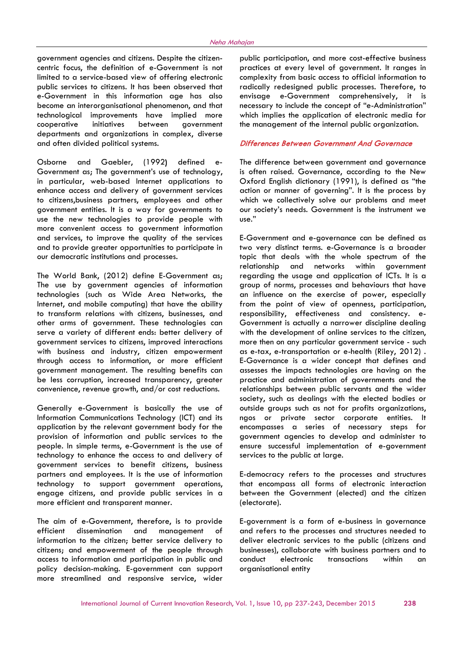government agencies and citizens. Despite the citizencentric focus, the definition of e-Government is not limited to a service-based view of offering electronic public services to citizens. It has been observed that e-Government in this information age has also become an interorganisational phenomenon, and that technological improvements have implied more cooperative initiatives between government departments and organizations in complex, diverse and often divided political systems.

Osborne and Gaebler, (1992) defined e-Government as; The government's use of technology, in particular, web-based Internet applications to enhance access and delivery of government services to citizens,business partners, employees and other government entities. It is a way for governments to use the new technologies to provide people with more convenient access to government information and services, to improve the quality of the services and to provide greater opportunities to participate in our democratic institutions and processes.

The World Bank, (2012) define E-Government as; The use by government agencies of information technologies (such as Wide Area Networks, the Internet, and mobile computing) that have the ability to transform relations with citizens, businesses, and other arms of government. These technologies can serve a variety of different ends: better delivery of government services to citizens, improved interactions with business and industry, citizen empowerment through access to information, or more efficient government management. The resulting benefits can be less corruption, increased transparency, greater convenience, revenue growth, and/or cost reductions.

Generally e-Government is basically the use of Information Communications Technology (ICT) and its application by the relevant government body for the provision of information and public services to the people. In simple terms, e-Government is the use of technology to enhance the access to and delivery of government services to benefit citizens, business partners and employees. It is the use of information technology to support government operations, engage citizens, and provide public services in a more efficient and transparent manner.

The aim of e-Government, therefore, is to provide efficient dissemination and management of information to the citizen; better service delivery to citizens; and empowerment of the people through access to information and participation in public and policy decision-making. E-government can support more streamlined and responsive service, wider

public participation, and more cost-effective business practices at every level of government. It ranges in complexity from basic access to official information to radically redesigned public processes. Therefore, to envisage e-Government comprehensively, it is necessary to include the concept of "e-Administration" which implies the application of electronic media for the management of the internal public organization.

# Differences Between Government And Governace

The difference between government and governance is often raised. Governance, according to the New Oxford English dictionary (1991), is defined as "the action or manner of governing". It is the process by which we collectively solve our problems and meet our society's needs. Government is the instrument we use."

E-Government and e-governance can be defined as two very distinct terms. e-Governance is a broader topic that deals with the whole spectrum of the relationship and networks within government regarding the usage and application of ICTs. It is a group of norms, processes and behaviours that have an influence on the exercise of power, especially from the point of view of openness, participation, responsibility, effectiveness and consistency. e-Government is actually a narrower discipline dealing with the development of online services to the citizen, more then on any particular government service - such as e-tax, e-transportation or e-health (Riley, 2012) . E-Governance is a wider concept that defines and assesses the impacts technologies are having on the practice and administration of governments and the relationships between public servants and the wider society, such as dealings with the elected bodies or outside groups such as not for profits organizations, ngos or private sector corporate entities. It encompasses a series of necessary steps for government agencies to develop and administer to ensure successful implementation of e-government services to the public at large.

E-democracy refers to the processes and structures that encompass all forms of electronic interaction between the Government (elected) and the citizen (electorate).

E-government is a form of e-business in governance and refers to the processes and structures needed to deliver electronic services to the public (citizens and businesses), collaborate with business partners and to conduct electronic transactions within an organisational entity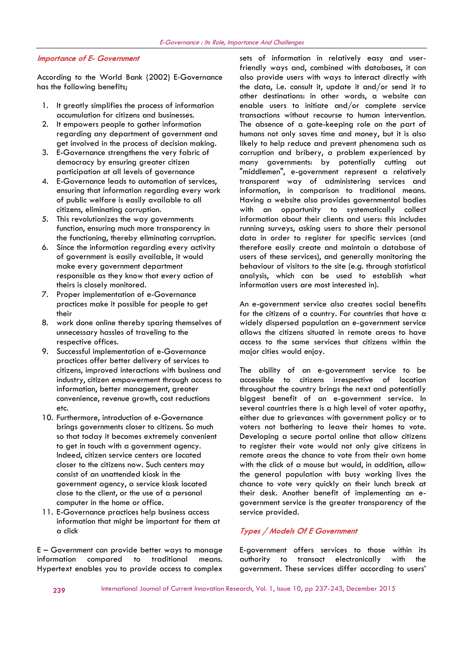#### Importance of E- Government

According to the World Bank (2002) E-Governance has the following benefits;

- 1. It greatly simplifies the process of information accumulation for citizens and businesses.
- 2. It empowers people to gather information regarding any department of government and get involved in the process of decision making.
- 3. E-Governance strengthens the very fabric of democracy by ensuring greater citizen participation at all levels of governance
- 4. E-Governance leads to automation of services, ensuring that information regarding every work of public welfare is easily available to all citizens, eliminating corruption.
- 5. This revolutionizes the way governments function, ensuring much more transparency in the functioning, thereby eliminating corruption.
- 6. Since the information regarding every activity of government is easily available, it would make every government department responsible as they know that every action of theirs is closely monitored.
- 7. Proper implementation of e-Governance practices make it possible for people to get their
- 8. work done online thereby sparing themselves of unnecessary hassles of traveling to the respective offices.
- 9. Successful implementation of e-Governance practices offer better delivery of services to citizens, improved interactions with business and industry, citizen empowerment through access to information, better management, greater convenience, revenue growth, cost reductions etc.
- 10. Furthermore, introduction of e-Governance brings governments closer to citizens. So much so that today it becomes extremely convenient to get in touch with a government agency. Indeed, citizen service centers are located closer to the citizens now. Such centers may consist of an unattended kiosk in the government agency, a service kiosk located close to the client, or the use of a personal computer in the home or office.
- 11. E-Governance practices help business access information that might be important for them at a click

E – Government can provide better ways to manage information compared to traditional means. Hypertext enables you to provide access to complex sets of information in relatively easy and userfriendly ways and, combined with databases, it can also provide users with ways to interact directly with the data, i.e. consult it, update it and/or send it to other destinations: in other words, a website can enable users to initiate and/or complete service transactions without recourse to human intervention. The absence of a gate-keeping role on the part of humans not only saves time and money, but it is also likely to help reduce and prevent phenomena such as corruption and bribery, a problem experienced by many governments: by potentially cutting out "middlemen", e-government represent a relatively transparent way of administering services and information, in comparison to traditional means. Having a website also provides governmental bodies with an opportunity to systematically collect information about their clients and users: this includes running surveys, asking users to share their personal data in order to register for specific services (and therefore easily create and maintain a database of users of these services), and generally monitoring the behaviour of visitors to the site (e.g. through statistical analysis, which can be used to establish what information users are most interested in).

An e-government service also creates social benefits for the citizens of a country. For countries that have a widely dispersed population an e-government service allows the citizens situated in remote areas to have access to the same services that citizens within the major cities would enjoy.

The ability of an e-government service to be accessible to citizens irrespective of location throughout the country brings the next and potentially biggest benefit of an e-government service. In several countries there is a high level of voter apathy, either due to grievances with government policy or to voters not bothering to leave their homes to vote. Developing a secure portal online that allow citizens to register their vote would not only give citizens in remote areas the chance to vote from their own home with the click of a mouse but would, in addition, allow the general population with busy working lives the chance to vote very quickly on their lunch break at their desk. Another benefit of implementing an egovernment service is the greater transparency of the service provided.

# Types / Models Of E Government

E-government offers services to those within its authority to transact electronically with the government. These services differ according to users'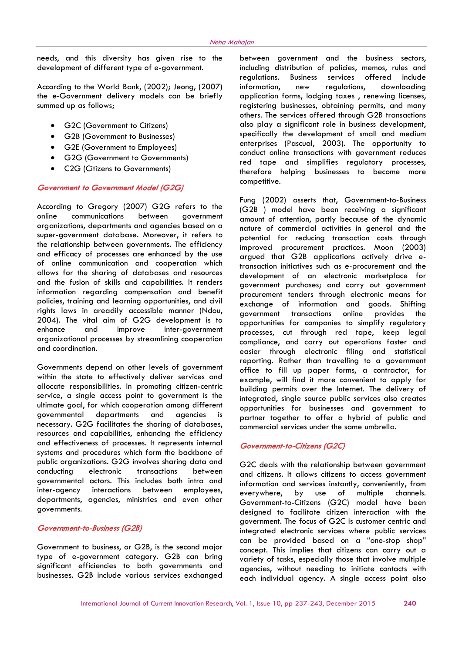needs, and this diversity has given rise to the development of different type of e-government.

According to the World Bank, (2002); Jeong, (2007) the e-Government delivery models can be briefly summed up as follows;

- G2C (Government to Citizens)
- G2B (Government to Businesses)
- G2E (Government to Employees)
- G2G (Government to Governments)
- C2G (Citizens to Governments)

# Government to Government Model (G2G)

According to Gregory (2007) G2G refers to the online communications between government organizations, departments and agencies based on a super-government database. Moreover, it refers to the relationship between governments. The efficiency and efficacy of processes are enhanced by the use of online communication and cooperation which allows for the sharing of databases and resources and the fusion of skills and capabilities. It renders information regarding compensation and benefit policies, training and learning opportunities, and civil rights laws in areadily accessible manner (Ndou, 2004). The vital aim of G2G development is to and improve inter-government organizational processes by streamlining cooperation and coordination.

Governments depend on other levels of government within the state to effectively deliver services and allocate responsibilities. In promoting citizen-centric service, a single access point to government is the ultimate goal, for which cooperation among different governmental departments and agencies is necessary. G2G facilitates the sharing of databases, resources and capabilities, enhancing the efficiency and effectiveness of processes. It represents internal systems and procedures which form the backbone of public organizations. G2G involves sharing data and conducting electronic transactions between governmental actors. This includes both intra and inter-agency interactions between employees, departments, agencies, ministries and even other governments.

#### Government-to-Business (G2B)

Government to business, or G2B, is the second major type of e-government category. G2B can bring significant efficiencies to both governments and businesses. G2B include various services exchanged

between government and the business sectors, including distribution of policies, memos, rules and regulations. Business services offered include information, new regulations, downloading application forms, lodging taxes , renewing licenses, registering businesses, obtaining permits, and many others. The services offered through G2B transactions also play a significant role in business development, specifically the development of small and medium enterprises (Pascual, 2003). The opportunity to conduct online transactions with government reduces red tape and simplifies regulatory processes, therefore helping businesses to become more competitive.

Fung (2002) asserts that, Government-to-Business (G2B ) model have been receiving a significant amount of attention, partly because of the dynamic nature of commercial activities in general and the potential for reducing transaction costs through improved procurement practices. Moon (2003) argued that G2B applications actively drive etransaction initiatives such as e-procurement and the development of an electronic marketplace for government purchases; and carry out government procurement tenders through electronic means for exchange of information and goods. Shifting government transactions online provides the opportunities for companies to simplify regulatory processes, cut through red tape, keep legal compliance, and carry out operations faster and easier through electronic filing and statistical reporting. Rather than travelling to a government office to fill up paper forms, a contractor, for example, will find it more convenient to apply for building permits over the Internet. The delivery of integrated, single source public services also creates opportunities for businesses and government to partner together to offer a hybrid of public and commercial services under the same umbrella.

# Government-to-Citizens (G2C)

G2C deals with the relationship between government and citizens. It allows citizens to access government information and services instantly, conveniently, from everywhere, by use of multiple channels. Government-to-Citizens (G2C) model have been designed to facilitate citizen interaction with the government. The focus of G2C is customer centric and integrated electronic services where public services can be provided based on a "one-stop shop" concept. This implies that citizens can carry out a variety of tasks, especially those that involve multiple agencies, without needing to initiate contacts with each individual agency. A single access point also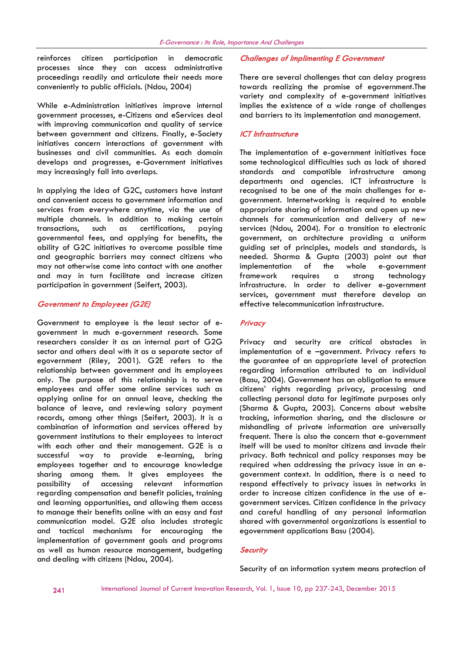reinforces citizen participation in democratic processes since they can access administrative proceedings readily and articulate their needs more conveniently to public officials. (Ndou, 2004)

While e-Administration initiatives improve internal government processes, e-Citizens and eServices deal with improving communication and quality of service between government and citizens. Finally, e-Society initiatives concern interactions of government with businesses and civil communities. As each domain develops and progresses, e-Government initiatives may increasingly fall into overlaps.

In applying the idea of G2C, customers have instant and convenient access to government information and services from everywhere anytime, via the use of multiple channels. In addition to making certain transactions, such as certifications, paying governmental fees, and applying for benefits, the ability of G2C initiatives to overcome possible time and geographic barriers may connect citizens who may not otherwise come into contact with one another and may in turn facilitate and increase citizen participation in government (Seifert, 2003).

#### Government to Employees (G2E)

Government to employee is the least sector of egovernment in much e-government research. Some researchers consider it as an internal part of G2G sector and others deal with it as a separate sector of egovernment (Riley, 2001). G2E refers to the relationship between government and its employees only. The purpose of this relationship is to serve employees and offer some online services such as applying online for an annual leave, checking the balance of leave, and reviewing salary payment records, among other things (Seifert, 2003). It is a combination of information and services offered by government institutions to their employees to interact with each other and their management. G2E is a successful way to provide e-learning, bring employees together and to encourage knowledge sharing among them. It gives employees the possibility of accessing relevant information regarding compensation and benefit policies, training and learning opportunities, and allowing them access to manage their benefits online with an easy and fast communication model. G2E also includes strategic and tactical mechanisms for encouraging the implementation of government goals and programs as well as human resource management, budgeting and dealing with citizens (Ndou, 2004).

#### Challenges of Implimenting E Government

There are several challenges that can delay progress towards realizing the promise of egovernment.The variety and complexity of e-government initiatives implies the existence of a wide range of challenges and barriers to its implementation and management.

# ICT Infrastructure

The implementation of e-government initiatives face some technological difficulties such as lack of shared standards and compatible infrastructure among departments and agencies. ICT infrastructure is recognised to be one of the main challenges for egovernment. Internetworking is required to enable appropriate sharing of information and open up new channels for communication and delivery of new services (Ndou, 2004). For a transition to electronic government, an architecture providing a uniform guiding set of principles, models and standards, is needed. Sharma & Gupta (2003) point out that implementation of the whole e-government framework requires a strong technology infrastructure. In order to deliver e-government services, government must therefore develop an effective telecommunication infrastructure.

#### **Privacy**

Privacy and security are critical obstacles in implementation of e –government. Privacy refers to the guarantee of an appropriate level of protection regarding information attributed to an individual (Basu, 2004). Government has an obligation to ensure citizens' rights regarding privacy, processing and collecting personal data for legitimate purposes only (Sharma & Gupta, 2003). Concerns about website tracking, information sharing, and the disclosure or mishandling of private information are universally frequent. There is also the concern that e-government itself will be used to monitor citizens and invade their privacy. Both technical and policy responses may be required when addressing the privacy issue in an egovernment context. In addition, there is a need to respond effectively to privacy issues in networks in order to increase citizen confidence in the use of egovernment services. Citizen confidence in the privacy and careful handling of any personal information shared with governmental organizations is essential to egovernment applications Basu (2004).

#### **Security**

Security of an information system means protection of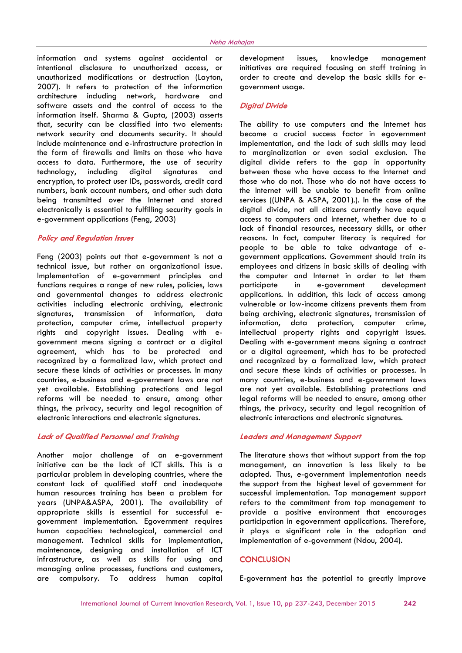information and systems against accidental or intentional disclosure to unauthorized access, or unauthorized modifications or destruction (Layton, 2007). It refers to protection of the information architecture including network, hardware and software assets and the control of access to the information itself. Sharma & Gupta, (2003) asserts that, security can be classified into two elements: network security and documents security. It should include maintenance and e-infrastructure protection in the form of firewalls and limits on those who have access to data. Furthermore, the use of security technology, including digital signatures and encryption, to protect user IDs, passwords, credit card numbers, bank account numbers, and other such data being transmitted over the Internet and stored electronically is essential to fulfilling security goals in e-government applications (Feng, 2003)

#### Policy and Regulation Issues

Feng (2003) points out that e-government is not a technical issue, but rather an organizational issue. Implementation of e-government principles and functions requires a range of new rules, policies, laws and governmental changes to address electronic activities including electronic archiving, electronic signatures, transmission of information, data protection, computer crime, intellectual property rights and copyright issues. Dealing with egovernment means signing a contract or a digital agreement, which has to be protected and recognized by a formalized law, which protect and secure these kinds of activities or processes. In many countries, e-business and e-government laws are not yet available. Establishing protections and legal reforms will be needed to ensure, among other things, the privacy, security and legal recognition of electronic interactions and electronic signatures.

# Lack of Qualified Personnel and Training

Another major challenge of an e-government initiative can be the lack of ICT skills. This is a particular problem in developing countries, where the constant lack of qualified staff and inadequate human resources training has been a problem for years (UNPA&ASPA, 2001). The availability of appropriate skills is essential for successful egovernment implementation. Egovernment requires human capacities: technological, commercial and management. Technical skills for implementation, maintenance, designing and installation of ICT infrastructure, as well as skills for using and managing online processes, functions and customers, are compulsory. To address human capital

development issues, knowledge management initiatives are required focusing on staff training in order to create and develop the basic skills for egovernment usage.

# Digital Divide

The ability to use computers and the Internet has become a crucial success factor in egovernment implementation, and the lack of such skills may lead to marginalization or even social exclusion. The digital divide refers to the gap in opportunity between those who have access to the Internet and those who do not. Those who do not have access to the Internet will be unable to benefit from online services ((UNPA & ASPA, 2001).). In the case of the digital divide, not all citizens currently have equal access to computers and Internet, whether due to a lack of financial resources, necessary skills, or other reasons. In fact, computer literacy is required for people to be able to take advantage of egovernment applications. Government should train its employees and citizens in basic skills of dealing with the computer and Internet in order to let them participate in e-government development applications. In addition, this lack of access among vulnerable or low-income citizens prevents them from being archiving, electronic signatures, transmission of information, data protection, computer crime, intellectual property rights and copyright issues. Dealing with e-government means signing a contract or a digital agreement, which has to be protected and recognized by a formalized law, which protect and secure these kinds of activities or processes. In many countries, e-business and e-government laws are not yet available. Establishing protections and legal reforms will be needed to ensure, among other things, the privacy, security and legal recognition of electronic interactions and electronic signatures.

### Leaders and Management Support

The literature shows that without support from the top management, an innovation is less likely to be adopted. Thus, e-government implementation needs the support from the highest level of government for successful implementation. Top management support refers to the commitment from top management to provide a positive environment that encourages participation in egovernment applications. Therefore, it plays a significant role in the adoption and implementation of e-government (Ndou, 2004).

#### **CONCLUSION**

E-government has the potential to greatly improve